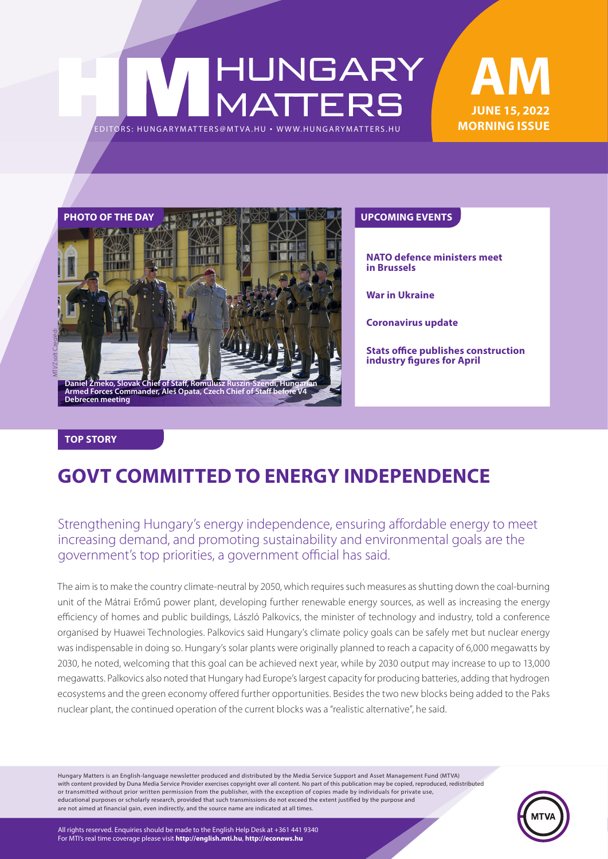# HUNGARY<br>MATTERS EDITORS: HUNGARYMAT TERS@MT VA.HU ¬ [WWW.HUNGARYMAT TERS.HU](http://hungarymatters.hu/)

### **JUNE 15, 2022 MORNING ISSUE AM**



**NATO defence ministers meet in Brussels**

**War in Ukraine**

**Coronavirus update**

**Stats office publishes construction industry figures for April**

#### **TOP STORY**

### **GOVT COMMITTED TO ENERGY INDEPENDENCE**

### Strengthening Hungary's energy independence, ensuring affordable energy to meet increasing demand, and promoting sustainability and environmental goals are the government's top priorities, a government official has said.

The aim is to make the country climate-neutral by 2050, which requires such measures as shutting down the coal-burning unit of the Mátrai Erőmű power plant, developing further renewable energy sources, as well as increasing the energy efficiency of homes and public buildings, László Palkovics, the minister of technology and industry, told a conference organised by Huawei Technologies. Palkovics said Hungary's climate policy goals can be safely met but nuclear energy was indispensable in doing so. Hungary's solar plants were originally planned to reach a capacity of 6,000 megawatts by 2030, he noted, welcoming that this goal can be achieved next year, while by 2030 output may increase to up to 13,000 megawatts. Palkovics also noted that Hungary had Europe's largest capacity for producing batteries, adding that hydrogen ecosystems and the green economy offered further opportunities. Besides the two new blocks being added to the Paks nuclear plant, the continued operation of the current blocks was a "realistic alternative", he said.

Hungary Matters is an English-language newsletter produced and distributed by the Media Service Support and Asset Management Fund (MTVA) with content provided by Duna Media Service Provider exercises copyright over all content. No part of this publication may be copied, reproduced, redistributed or transmitted without prior written permission from the publisher, with the exception of copies made by individuals for private use, educational purposes or scholarly research, provided that such transmissions do not exceed the extent justified by the purpose and are not aimed at financial gain, even indirectly, and the source name are indicated at all times.



All rights reserved. Enquiries should be made to the English Help Desk at +361 441 9340 For MTI's real time coverage please visit **http://english.mti.hu**, **http://econews.hu**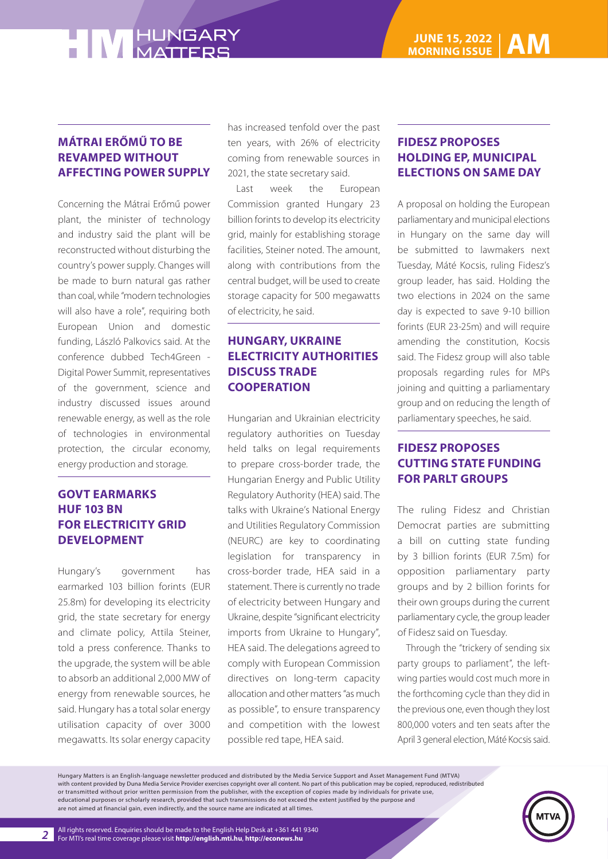### **MÁTRAI ERŐMŰ TO BE REVAMPED WITHOUT AFFECTING POWER SUPPLY**

Concerning the Mátrai Erőmű power plant, the minister of technology and industry said the plant will be reconstructed without disturbing the country's power supply. Changes will be made to burn natural gas rather than coal, while "modern technologies will also have a role", requiring both European Union and domestic funding, László Palkovics said. At the conference dubbed Tech4Green - Digital Power Summit, representatives of the government, science and industry discussed issues around renewable energy, as well as the role of technologies in environmental protection, the circular economy, energy production and storage.

### **GOVT EARMARKS HUF 103 BN FOR ELECTRICITY GRID DEVELOPMENT**

Hungary's government has earmarked 103 billion forints (EUR 25.8m) for developing its electricity grid, the state secretary for energy and climate policy, Attila Steiner, told a press conference. Thanks to the upgrade, the system will be able to absorb an additional 2,000 MW of energy from renewable sources, he said. Hungary has a total solar energy utilisation capacity of over 3000 megawatts. Its solar energy capacity

has increased tenfold over the past ten years, with 26% of electricity coming from renewable sources in 2021, the state secretary said.

Last week the European Commission granted Hungary 23 billion forints to develop its electricity grid, mainly for establishing storage facilities, Steiner noted. The amount, along with contributions from the central budget, will be used to create storage capacity for 500 megawatts of electricity, he said.

### **HUNGARY, UKRAINE ELECTRICITY AUTHORITIES DISCUSS TRADE COOPERATION**

Hungarian and Ukrainian electricity regulatory authorities on Tuesday held talks on legal requirements to prepare cross-border trade, the Hungarian Energy and Public Utility Regulatory Authority (HEA) said. The talks with Ukraine's National Energy and Utilities Regulatory Commission (NEURC) are key to coordinating legislation for transparency in cross-border trade, HEA said in a statement. There is currently no trade of electricity between Hungary and Ukraine, despite "significant electricity imports from Ukraine to Hungary", HEA said. The delegations agreed to comply with European Commission directives on long-term capacity allocation and other matters "as much as possible", to ensure transparency and competition with the lowest possible red tape, HEA said.

### **FIDESZ PROPOSES HOLDING EP, MUNICIPAL ELECTIONS ON SAME DAY**

A proposal on holding the European parliamentary and municipal elections in Hungary on the same day will be submitted to lawmakers next Tuesday, Máté Kocsis, ruling Fidesz's group leader, has said. Holding the two elections in 2024 on the same day is expected to save 9-10 billion forints (EUR 23-25m) and will require amending the constitution, Kocsis said. The Fidesz group will also table proposals regarding rules for MPs joining and quitting a parliamentary group and on reducing the length of parliamentary speeches, he said.

### **FIDESZ PROPOSES CUTTING STATE FUNDING FOR PARLT GROUPS**

The ruling Fidesz and Christian Democrat parties are submitting a bill on cutting state funding by 3 billion forints (EUR 7.5m) for opposition parliamentary party groups and by 2 billion forints for their own groups during the current parliamentary cycle, the group leader of Fidesz said on Tuesday.

Through the "trickery of sending six party groups to parliament", the leftwing parties would cost much more in the forthcoming cycle than they did in the previous one, even though they lost 800,000 voters and ten seats after the April 3 general election, Máté Kocsis said.

Hungary Matters is an English-language newsletter produced and distributed by the Media Service Support and Asset Management Fund (MTVA) with content provided by Duna Media Service Provider exercises copyright over all content. No part of this publication may be copied, reproduced, redistributed or transmitted without prior written permission from the publisher, with the exception of copies made by individuals for private use, educational purposes or scholarly research, provided that such transmissions do not exceed the extent justified by the purpose and are not aimed at financial gain, even indirectly, and the source name are indicated at all times.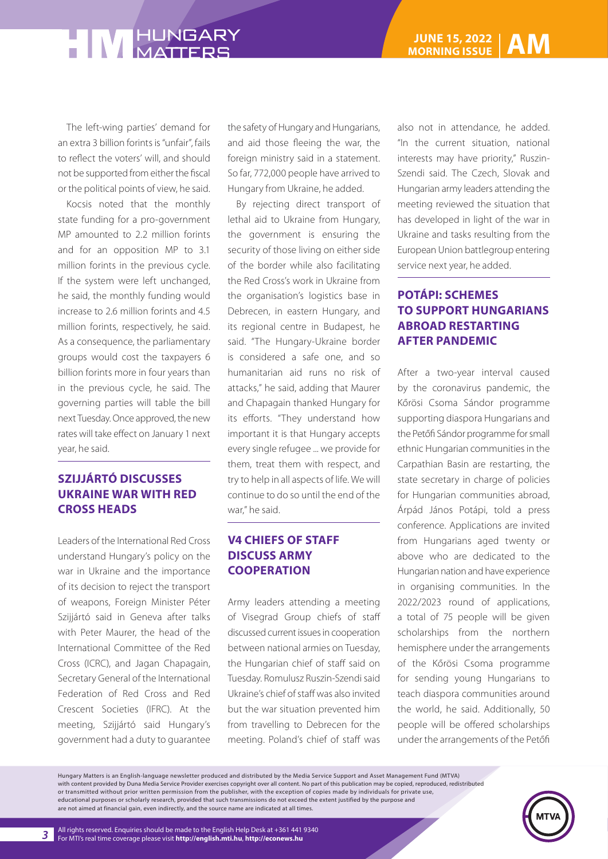The left-wing parties' demand for an extra 3 billion forints is "unfair", fails to reflect the voters' will, and should not be supported from either the fiscal or the political points of view, he said.

Kocsis noted that the monthly state funding for a pro-government MP amounted to 2.2 million forints and for an opposition MP to 3.1 million forints in the previous cycle. If the system were left unchanged, he said, the monthly funding would increase to 2.6 million forints and 4.5 million forints, respectively, he said. As a consequence, the parliamentary groups would cost the taxpayers 6 billion forints more in four years than in the previous cycle, he said. The governing parties will table the bill next Tuesday. Once approved, the new rates will take effect on January 1 next year, he said.

### **SZIJJÁRTÓ DISCUSSES UKRAINE WAR WITH RED CROSS HEADS**

Leaders of the International Red Cross understand Hungary's policy on the war in Ukraine and the importance of its decision to reject the transport of weapons, Foreign Minister Péter Szijjártó said in Geneva after talks with Peter Maurer, the head of the International Committee of the Red Cross (ICRC), and Jagan Chapagain, Secretary General of the International Federation of Red Cross and Red Crescent Societies (IFRC). At the meeting, Szijjártó said Hungary's government had a duty to guarantee

the safety of Hungary and Hungarians, and aid those fleeing the war, the foreign ministry said in a statement. So far, 772,000 people have arrived to Hungary from Ukraine, he added.

By rejecting direct transport of lethal aid to Ukraine from Hungary, the government is ensuring the security of those living on either side of the border while also facilitating the Red Cross's work in Ukraine from the organisation's logistics base in Debrecen, in eastern Hungary, and its regional centre in Budapest, he said. "The Hungary-Ukraine border is considered a safe one, and so humanitarian aid runs no risk of attacks," he said, adding that Maurer and Chapagain thanked Hungary for its efforts. "They understand how important it is that Hungary accepts every single refugee ... we provide for them, treat them with respect, and try to help in all aspects of life. We will continue to do so until the end of the war," he said.

### **V4 CHIEFS OF STAFF DISCUSS ARMY COOPERATION**

Army leaders attending a meeting of Visegrad Group chiefs of staff discussed current issues in cooperation between national armies on Tuesday, the Hungarian chief of staff said on Tuesday. Romulusz Ruszin-Szendi said Ukraine's chief of staff was also invited but the war situation prevented him from travelling to Debrecen for the meeting. Poland's chief of staff was

also not in attendance, he added. "In the current situation, national interests may have priority," Ruszin-Szendi said. The Czech, Slovak and Hungarian army leaders attending the meeting reviewed the situation that has developed in light of the war in Ukraine and tasks resulting from the European Union battlegroup entering service next year, he added.

### **POTÁPI: SCHEMES TO SUPPORT HUNGARIANS ABROAD RESTARTING AFTER PANDEMIC**

After a two-year interval caused by the coronavirus pandemic, the Kőrösi Csoma Sándor programme supporting diaspora Hungarians and the Petőfi Sándor programme for small ethnic Hungarian communities in the Carpathian Basin are restarting, the state secretary in charge of policies for Hungarian communities abroad, Árpád János Potápi, told a press conference. Applications are invited from Hungarians aged twenty or above who are dedicated to the Hungarian nation and have experience in organising communities. In the 2022/2023 round of applications, a total of 75 people will be given scholarships from the northern hemisphere under the arrangements of the Kőrösi Csoma programme for sending young Hungarians to teach diaspora communities around the world, he said. Additionally, 50 people will be offered scholarships under the arrangements of the Petőfi

Hungary Matters is an English-language newsletter produced and distributed by the Media Service Support and Asset Management Fund (MTVA) with content provided by Duna Media Service Provider exercises copyright over all content. No part of this publication may be copied, reproduced, redistributed or transmitted without prior written permission from the publisher, with the exception of copies made by individuals for private use, educational purposes or scholarly research, provided that such transmissions do not exceed the extent justified by the purpose and are not aimed at financial gain, even indirectly, and the source name are indicated at all times.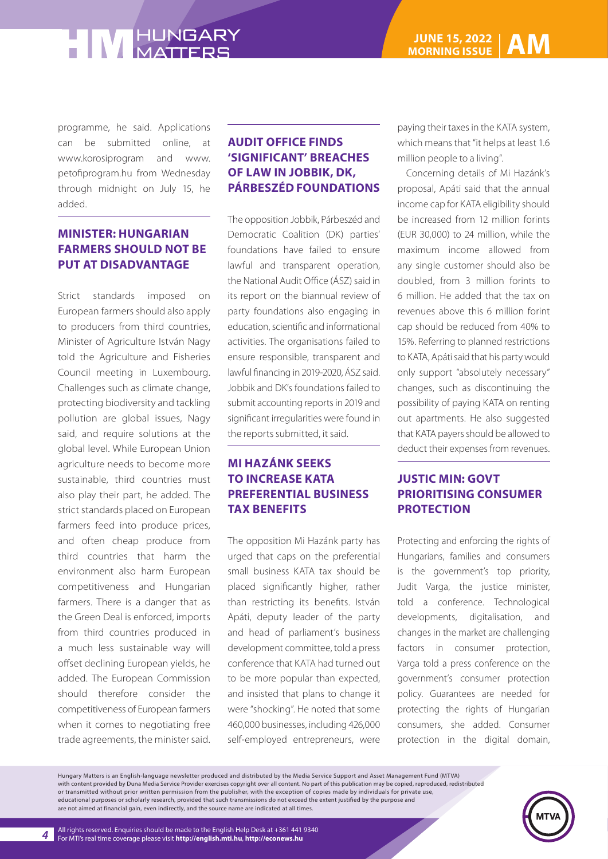programme, he said. Applications can be submitted online, at www.korosiprogram and www. petofiprogram.hu from Wednesday through midnight on July 15, he added.

### **MINISTER: HUNGARIAN FARMERS SHOULD NOT BE PUT AT DISADVANTAGE**

Strict standards imposed on European farmers should also apply to producers from third countries, Minister of Agriculture István Nagy told the Agriculture and Fisheries Council meeting in Luxembourg. Challenges such as climate change, protecting biodiversity and tackling pollution are global issues, Nagy said, and require solutions at the global level. While European Union agriculture needs to become more sustainable, third countries must also play their part, he added. The strict standards placed on European farmers feed into produce prices, and often cheap produce from third countries that harm the environment also harm European competitiveness and Hungarian farmers. There is a danger that as the Green Deal is enforced, imports from third countries produced in a much less sustainable way will offset declining European yields, he added. The European Commission should therefore consider the competitiveness of European farmers when it comes to negotiating free trade agreements, the minister said.

### **AUDIT OFFICE FINDS 'SIGNIFICANT' BREACHES OF LAW IN JOBBIK, DK, PÁRBESZÉD FOUNDATIONS**

The opposition Jobbik, Párbeszéd and Democratic Coalition (DK) parties' foundations have failed to ensure lawful and transparent operation, the National Audit Office (ÁSZ) said in its report on the biannual review of party foundations also engaging in education, scientific and informational activities. The organisations failed to ensure responsible, transparent and lawful financing in 2019-2020, ÁSZ said. Jobbik and DK's foundations failed to submit accounting reports in 2019 and significant irregularities were found in the reports submitted, it said.

### **MI HAZÁNK SEEKS TO INCREASE KATA PREFERENTIAL BUSINESS TAX BENEFITS**

The opposition Mi Hazánk party has urged that caps on the preferential small business KATA tax should be placed significantly higher, rather than restricting its benefits. István Apáti, deputy leader of the party and head of parliament's business development committee, told a press conference that KATA had turned out to be more popular than expected, and insisted that plans to change it were "shocking". He noted that some 460,000 businesses, including 426,000 self-employed entrepreneurs, were

paying their taxes in the KATA system, which means that "it helps at least 1.6 million people to a living".

Concerning details of Mi Hazánk's proposal, Apáti said that the annual income cap for KATA eligibility should be increased from 12 million forints (EUR 30,000) to 24 million, while the maximum income allowed from any single customer should also be doubled, from 3 million forints to 6 million. He added that the tax on revenues above this 6 million forint cap should be reduced from 40% to 15%. Referring to planned restrictions to KATA, Apáti said that his party would only support "absolutely necessary" changes, such as discontinuing the possibility of paying KATA on renting out apartments. He also suggested that KATA payers should be allowed to deduct their expenses from revenues.

### **JUSTIC MIN: GOVT PRIORITISING CONSUMER PROTECTION**

Protecting and enforcing the rights of Hungarians, families and consumers is the government's top priority, Judit Varga, the justice minister, told a conference. Technological developments, digitalisation, and changes in the market are challenging factors in consumer protection, Varga told a press conference on the government's consumer protection policy. Guarantees are needed for protecting the rights of Hungarian consumers, she added. Consumer protection in the digital domain,

Hungary Matters is an English-language newsletter produced and distributed by the Media Service Support and Asset Management Fund (MTVA) with content provided by Duna Media Service Provider exercises copyright over all content. No part of this publication may be copied, reproduced, redistributed or transmitted without prior written permission from the publisher, with the exception of copies made by individuals for private use, educational purposes or scholarly research, provided that such transmissions do not exceed the extent justified by the purpose and are not aimed at financial gain, even indirectly, and the source name are indicated at all times.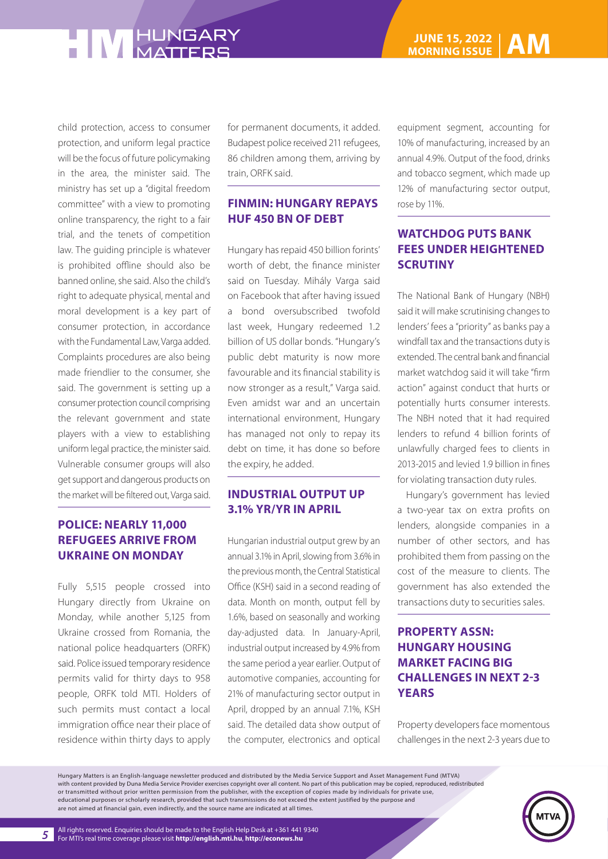child protection, access to consumer protection, and uniform legal practice will be the focus of future policymaking in the area, the minister said. The ministry has set up a "digital freedom committee" with a view to promoting online transparency, the right to a fair trial, and the tenets of competition law. The guiding principle is whatever is prohibited offline should also be banned online, she said. Also the child's right to adequate physical, mental and moral development is a key part of consumer protection, in accordance with the Fundamental Law, Varga added. Complaints procedures are also being made friendlier to the consumer, she said. The government is setting up a consumer protection council comprising the relevant government and state players with a view to establishing uniform legal practice, the minister said. Vulnerable consumer groups will also get support and dangerous products on the market will be filtered out, Varga said.

### **POLICE: NEARLY 11,000 REFUGEES ARRIVE FROM UKRAINE ON MONDAY**

Fully 5,515 people crossed into Hungary directly from Ukraine on Monday, while another 5,125 from Ukraine crossed from Romania, the national police headquarters (ORFK) said. Police issued temporary residence permits valid for thirty days to 958 people, ORFK told MTI. Holders of such permits must contact a local immigration office near their place of residence within thirty days to apply for permanent documents, it added. Budapest police received 211 refugees, 86 children among them, arriving by train, ORFK said.

#### **FINMIN: HUNGARY REPAYS HUF 450 BN OF DEBT**

Hungary has repaid 450 billion forints' worth of debt, the finance minister said on Tuesday. Mihály Varga said on Facebook that after having issued a bond oversubscribed twofold last week, Hungary redeemed 1.2 billion of US dollar bonds. "Hungary's public debt maturity is now more favourable and its financial stability is now stronger as a result," Varga said. Even amidst war and an uncertain international environment, Hungary has managed not only to repay its debt on time, it has done so before the expiry, he added.

#### **INDUSTRIAL OUTPUT UP 3.1% YR/YR IN APRIL**

Hungarian industrial output grew by an annual 3.1% in April, slowing from 3.6% in the previous month, the Central Statistical Office (KSH) said in a second reading of data. Month on month, output fell by 1.6%, based on seasonally and working day-adjusted data. In January-April, industrial output increased by 4.9% from the same period a year earlier. Output of automotive companies, accounting for 21% of manufacturing sector output in April, dropped by an annual 7.1%, KSH said. The detailed data show output of the computer, electronics and optical equipment segment, accounting for 10% of manufacturing, increased by an annual 4.9%. Output of the food, drinks and tobacco segment, which made up 12% of manufacturing sector output, rose by 11%.

### **WATCHDOG PUTS BANK FEES UNDER HEIGHTENED SCRUTINY**

The National Bank of Hungary (NBH) said it will make scrutinising changes to lenders' fees a "priority" as banks pay a windfall tax and the transactions duty is extended. The central bank and financial market watchdog said it will take "firm action" against conduct that hurts or potentially hurts consumer interests. The NBH noted that it had required lenders to refund 4 billion forints of unlawfully charged fees to clients in 2013-2015 and levied 1.9 billion in fines for violating transaction duty rules.

Hungary's government has levied a two-year tax on extra profits on lenders, alongside companies in a number of other sectors, and has prohibited them from passing on the cost of the measure to clients. The government has also extended the transactions duty to securities sales.

### **PROPERTY ASSN: HUNGARY HOUSING MARKET FACING BIG CHALLENGES IN NEXT 2-3 YEARS**

Property developers face momentous challenges in the next 2-3 years due to

Hungary Matters is an English-language newsletter produced and distributed by the Media Service Support and Asset Management Fund (MTVA) with content provided by Duna Media Service Provider exercises copyright over all content. No part of this publication may be copied, reproduced, redistributed or transmitted without prior written permission from the publisher, with the exception of copies made by individuals for private use, educational purposes or scholarly research, provided that such transmissions do not exceed the extent justified by the purpose and are not aimed at financial gain, even indirectly, and the source name are indicated at all times.

All rights reserved. Enquiries should be made to the English Help Desk at +361 441 9340 For MTI's real time coverage please visit **http://english.mti.hu**, **http://econews.hu**